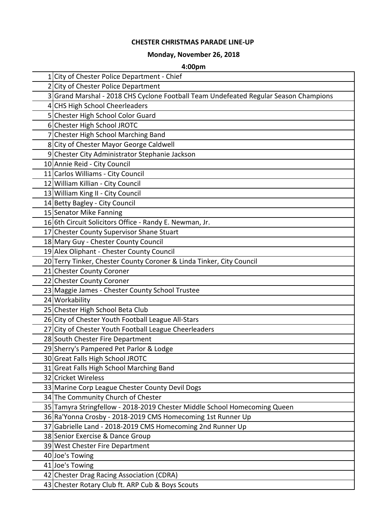## **CHESTER CHRISTMAS PARADE LINE-UP**

## **Monday, November 26, 2018**

## **4:00pm**

| 1 City of Chester Police Department - Chief                                          |
|--------------------------------------------------------------------------------------|
| 2 City of Chester Police Department                                                  |
| 3 Grand Marshal - 2018 CHS Cyclone Football Team Undefeated Regular Season Champions |
| 4 CHS High School Cheerleaders                                                       |
| 5 Chester High School Color Guard                                                    |
| 6 Chester High School JROTC                                                          |
| 7 Chester High School Marching Band                                                  |
| 8 City of Chester Mayor George Caldwell                                              |
| 9 Chester City Administrator Stephanie Jackson                                       |
| 10 Annie Reid - City Council                                                         |
| 11 Carlos Williams - City Council                                                    |
| 12 William Killian - City Council                                                    |
| 13 William King II - City Council                                                    |
| 14 Betty Bagley - City Council                                                       |
| 15 Senator Mike Fanning                                                              |
| 166th Circuit Solicitors Office - Randy E. Newman, Jr.                               |
| 17 Chester County Supervisor Shane Stuart                                            |
| 18 Mary Guy - Chester County Council                                                 |
| 19 Alex Oliphant - Chester County Council                                            |
| 20 Terry Tinker, Chester County Coroner & Linda Tinker, City Council                 |
| 21 Chester County Coroner                                                            |
| 22 Chester County Coroner                                                            |
| 23 Maggie James - Chester County School Trustee                                      |
| 24 Workability                                                                       |
| 25 Chester High School Beta Club                                                     |
| 26 City of Chester Youth Football League All-Stars                                   |
| 27 City of Chester Youth Football League Cheerleaders                                |
| 28 South Chester Fire Department                                                     |
| 29 Sherry's Pampered Pet Parlor & Lodge                                              |
| 30 Great Falls High School JROTC                                                     |
| 31 Great Falls High School Marching Band                                             |
| 32 Cricket Wireless                                                                  |
| 33 Marine Corp League Chester County Devil Dogs                                      |
| 34 The Community Church of Chester                                                   |
| 35 Tamyra Stringfellow - 2018-2019 Chester Middle School Homecoming Queen            |
| 36 Ra'Yonna Crosby - 2018-2019 CMS Homecoming 1st Runner Up                          |
| 37 Gabrielle Land - 2018-2019 CMS Homecoming 2nd Runner Up                           |
| 38 Senior Exercise & Dance Group                                                     |
| 39 West Chester Fire Department                                                      |
| 40 Joe's Towing                                                                      |
| 41 Joe's Towing                                                                      |
| 42 Chester Drag Racing Association (CDRA)                                            |
| 43 Chester Rotary Club ft. ARP Cub & Boys Scouts                                     |